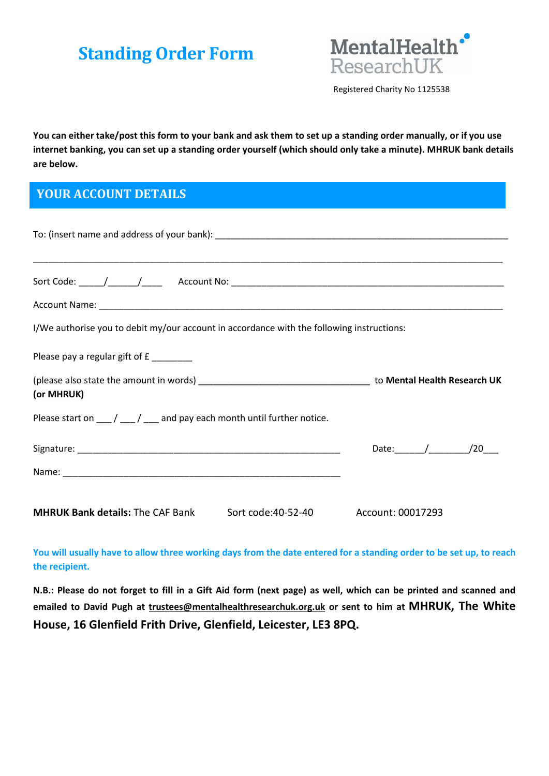# Standing Order Form



Registered Charity No 1125538

You can either take/post this form to your bank and ask them to set up a standing order manually, or if you use internet banking, you can set up a standing order yourself (which should only take a minute). MHRUK bank details are below.

# YOUR ACCOUNT DETAILS

| I/We authorise you to debit my/our account in accordance with the following instructions:            |                      |  |  |  |
|------------------------------------------------------------------------------------------------------|----------------------|--|--|--|
| Please pay a regular gift of £______                                                                 |                      |  |  |  |
| (or MHRUK)                                                                                           |                      |  |  |  |
| Please start on $\frac{1}{\sqrt{2}}$ / $\frac{1}{\sqrt{2}}$ and pay each month until further notice. |                      |  |  |  |
|                                                                                                      | Date: $\frac{1}{20}$ |  |  |  |
|                                                                                                      |                      |  |  |  |
| <b>MHRUK Bank details: The CAF Bank</b><br>Sort code:40-52-40 Account: 00017293                      |                      |  |  |  |

You will usually have to allow three working days from the date entered for a standing order to be set up, to reach the recipient.

N.B.: Please do not forget to fill in a Gift Aid form (next page) as well, which can be printed and scanned and emailed to David Pugh at trustees@mentalhealthresearchuk.org.uk or sent to him at MHRUK, The White House, 16 Glenfield Frith Drive, Glenfield, Leicester, LE3 8PQ.